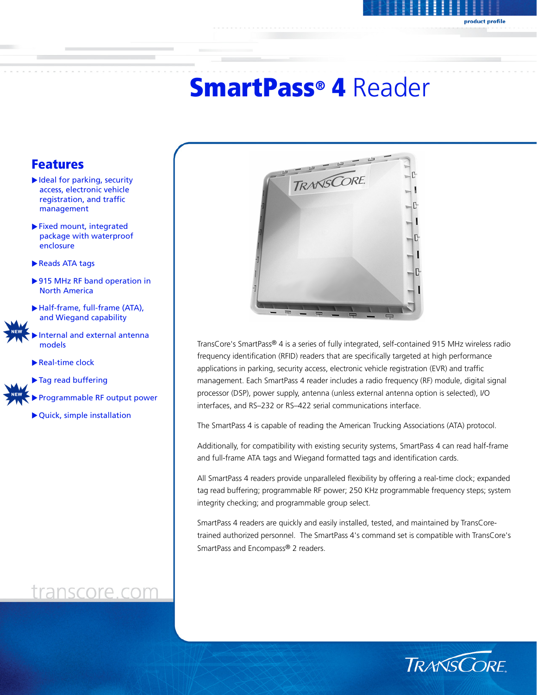# SmartPass® 4 Reader

# Features

- $\blacktriangleright$  Ideal for parking, security access, electronic vehicle registration, and traffic management
- $\blacktriangleright$  Fixed mount, integrated package with waterproof enclosure
- Reads ATA tags
- ▶ 915 MHz RF band operation in North America
- Half-frame, full-frame (ATA), and Wiegand capability
- Internal and external antenna models
	- $\blacktriangleright$  Real-time clock
	- Tag read buffering

Programmable RF output power

 $\blacktriangleright$  Quick, simple installation

# transcore.com



TransCore's SmartPass® 4 is a series of fully integrated, self-contained 915 MHz wireless radio frequency identification (RFID) readers that are specifically targeted at high performance applications in parking, security access, electronic vehicle registration (EVR) and traffic management. Each SmartPass 4 reader includes a radio frequency (RF) module, digital signal processor (DSP), power supply, antenna (unless external antenna option is selected), I/O interfaces, and RS–232 or RS–422 serial communications interface.

The SmartPass 4 is capable of reading the American Trucking Associations (ATA) protocol.

Additionally, for compatibility with existing security systems, SmartPass 4 can read half-frame and full-frame ATA tags and Wiegand formatted tags and identification cards.

All SmartPass 4 readers provide unparalleled flexibility by offering a real-time clock; expanded tag read buffering; programmable RF power; 250 KHz programmable frequency steps; system integrity checking; and programmable group select.

SmartPass 4 readers are quickly and easily installed, tested, and maintained by TransCoretrained authorized personnel. The SmartPass 4's command set is compatible with TransCore's SmartPass and Encompass® 2 readers.